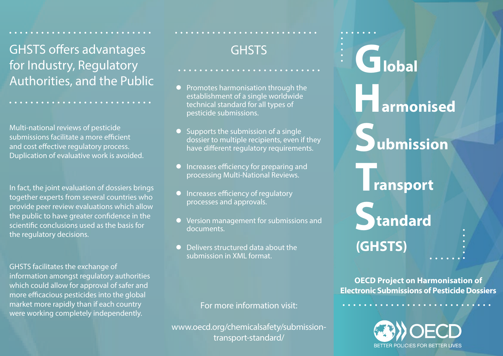GHSTS offers advantages for Industry, Regulatory Authorities, and the Public

Multi-national reviews of pesticide submissions facilitate a more efficient and cost effective regulatory process. Duplication of evaluative work is avoided.

In fact, the joint evaluation of dossiers brings together experts from several countries who provide peer review evaluations which allow the public to have greater confidence in the scientific conclusions used as the basis for the regulatory decisions.

GHSTS facilitates the exchange of information amongst regulatory authorities which could allow for approval of safer and more efficacious pesticides into the global market more rapidly than if each country were working completely independently.

# **GHSTS**

**AAAAAAAAAAAA** 

- l Promotes harmonisation through the establishment of a single worldwide technical standard for all types of pesticide submissions.
- $\bullet$  Supports the submission of a single dossier to multiple recipients, even if they have different regulatory requirements.
- **•** Increases efficiency for preparing and processing Multi-National Reviews.
- **Increases efficiency of regulatory** processes and approvals.
- l Version management for submissions and documents.
- l Delivers structured data about the submission in XML format.

For more information visit:

www.oecd.org/chemicalsafety/submissiontransport-standard/

# **G H S T S (GHSTS) lobal armonised ubmission ransport tandard**

**OECD Project on Harmonisation of Electronic Submissions of Pesticide Dossiers**